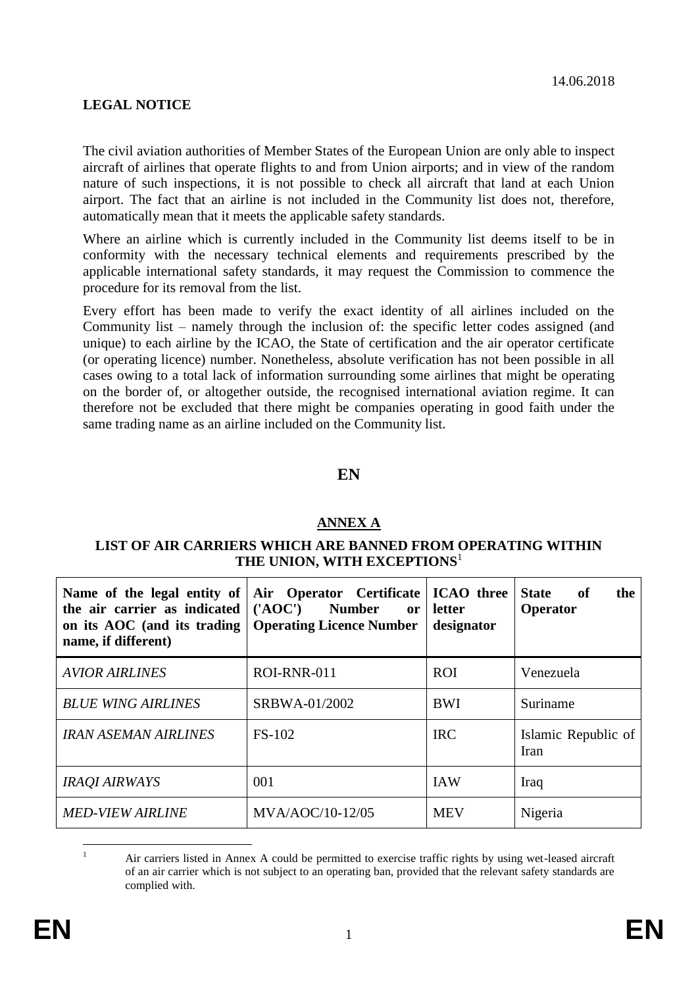# **LEGAL NOTICE**

The civil aviation authorities of Member States of the European Union are only able to inspect aircraft of airlines that operate flights to and from Union airports; and in view of the random nature of such inspections, it is not possible to check all aircraft that land at each Union airport. The fact that an airline is not included in the Community list does not, therefore, automatically mean that it meets the applicable safety standards.

Where an airline which is currently included in the Community list deems itself to be in conformity with the necessary technical elements and requirements prescribed by the applicable international safety standards, it may request the Commission to commence the procedure for its removal from the list.

Every effort has been made to verify the exact identity of all airlines included on the Community list – namely through the inclusion of: the specific letter codes assigned (and unique) to each airline by the ICAO, the State of certification and the air operator certificate (or operating licence) number. Nonetheless, absolute verification has not been possible in all cases owing to a total lack of information surrounding some airlines that might be operating on the border of, or altogether outside, the recognised international aviation regime. It can therefore not be excluded that there might be companies operating in good faith under the same trading name as an airline included on the Community list.

## **EN**

## **ANNEX A**

#### **LIST OF AIR CARRIERS WHICH ARE BANNED FROM OPERATING WITHIN THE UNION, WITH EXCEPTIONS**<sup>1</sup>

| Name of the legal entity of   Air Operator Certificate<br>the air carrier as indicated $ (AOC)$ Number<br>on its AOC (and its trading   Operating Licence Number<br>name, if different) | <b>ICAO</b> three<br>letter<br>or<br>designator |            | <b>State</b><br>of<br>the<br>Operator |  |
|-----------------------------------------------------------------------------------------------------------------------------------------------------------------------------------------|-------------------------------------------------|------------|---------------------------------------|--|
| <b>AVIOR AIRLINES</b>                                                                                                                                                                   | ROI-RNR-011                                     | <b>ROI</b> | Venezuela                             |  |
| <b>BLUE WING AIRLINES</b>                                                                                                                                                               | SRBWA-01/2002                                   | BWI        | Suriname                              |  |
| <b>IRAN ASEMAN AIRLINES</b>                                                                                                                                                             | <b>FS-102</b>                                   | <b>IRC</b> | Islamic Republic of<br>Iran           |  |
| <b>IRAOI AIRWAYS</b>                                                                                                                                                                    | 001                                             | <b>IAW</b> | Iraq                                  |  |
| <b>MED-VIEW AIRLINE</b>                                                                                                                                                                 | MVA/AOC/10-12/05                                | <b>MEV</b> | Nigeria                               |  |

 $\mathbf{1}$ <sup>1</sup> Air carriers listed in Annex A could be permitted to exercise traffic rights by using wet-leased aircraft of an air carrier which is not subject to an operating ban, provided that the relevant safety standards are complied with.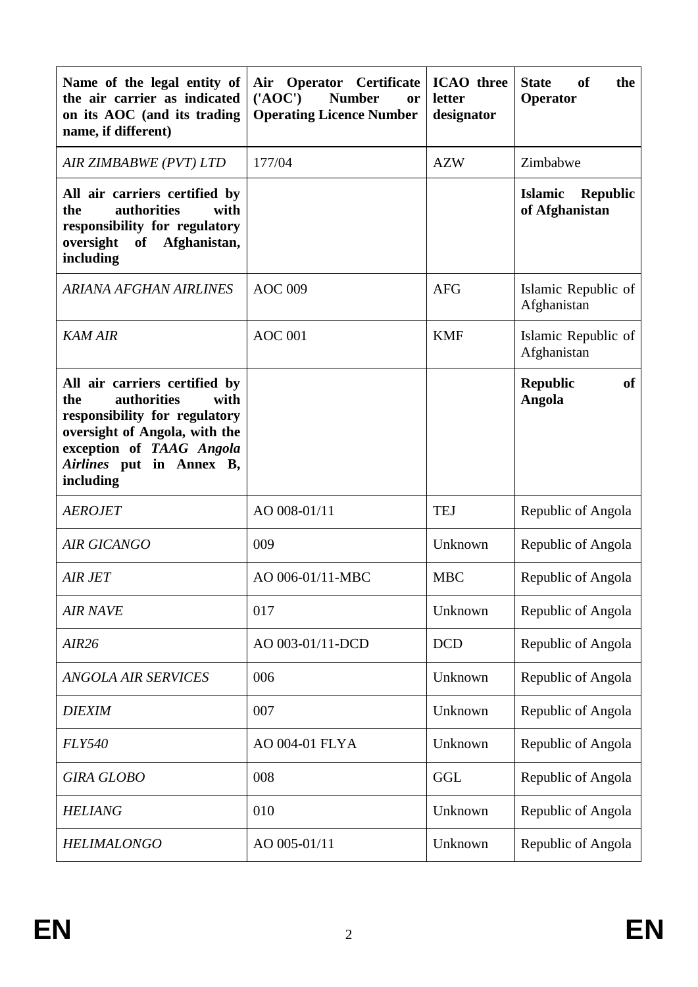| Name of the legal entity of<br>the air carrier as indicated<br>on its AOC (and its trading<br>name, if different)                                                                                  | Air<br><b>Operator</b> Certificate<br>$(^{\prime}AOC^{\prime})$<br><b>Number</b><br>or<br><b>Operating Licence Number</b> | <b>ICAO</b> three<br>letter<br>designator | <b>State</b><br><b>of</b><br>the<br>Operator        |  |
|----------------------------------------------------------------------------------------------------------------------------------------------------------------------------------------------------|---------------------------------------------------------------------------------------------------------------------------|-------------------------------------------|-----------------------------------------------------|--|
| AIR ZIMBABWE (PVT) LTD                                                                                                                                                                             | 177/04                                                                                                                    | <b>AZW</b>                                | Zimbabwe                                            |  |
| All air carriers certified by<br>authorities<br>with<br>the<br>responsibility for regulatory<br>Afghanistan,<br>oversight<br>of<br>including                                                       |                                                                                                                           |                                           | <b>Islamic</b><br><b>Republic</b><br>of Afghanistan |  |
| ARIANA AFGHAN AIRLINES                                                                                                                                                                             | <b>AOC 009</b>                                                                                                            | Islamic Republic of<br>Afghanistan        |                                                     |  |
| <b>KAM AIR</b>                                                                                                                                                                                     | <b>AOC</b> 001                                                                                                            | <b>KMF</b>                                | Islamic Republic of<br>Afghanistan                  |  |
| All air carriers certified by<br>authorities<br>with<br>the<br>responsibility for regulatory<br>oversight of Angola, with the<br>exception of TAAG Angola<br>Airlines put in Annex B,<br>including |                                                                                                                           |                                           | <b>Republic</b><br>of<br>Angola                     |  |
| <b>AEROJET</b>                                                                                                                                                                                     | AO 008-01/11                                                                                                              | <b>TEJ</b>                                | Republic of Angola                                  |  |
| <b>AIR GICANGO</b>                                                                                                                                                                                 | 009                                                                                                                       | Unknown                                   | Republic of Angola                                  |  |
| <b>AIR JET</b>                                                                                                                                                                                     | AO 006-01/11-MBC                                                                                                          | <b>MBC</b>                                | Republic of Angola                                  |  |
| <b>AIR NAVE</b>                                                                                                                                                                                    | 017                                                                                                                       | Unknown                                   | Republic of Angola                                  |  |
| <b>AIR26</b>                                                                                                                                                                                       | AO 003-01/11-DCD                                                                                                          | <b>DCD</b>                                | Republic of Angola                                  |  |
| <b>ANGOLA AIR SERVICES</b>                                                                                                                                                                         | 006                                                                                                                       | Unknown                                   | Republic of Angola                                  |  |
| <b>DIEXIM</b>                                                                                                                                                                                      | 007                                                                                                                       | Unknown                                   | Republic of Angola                                  |  |
| <b>FLY540</b>                                                                                                                                                                                      | AO 004-01 FLYA                                                                                                            | Unknown                                   | Republic of Angola                                  |  |
| <b>GIRA GLOBO</b>                                                                                                                                                                                  | 008                                                                                                                       | <b>GGL</b>                                | Republic of Angola                                  |  |
| <b>HELIANG</b>                                                                                                                                                                                     | 010                                                                                                                       | Unknown                                   | Republic of Angola                                  |  |
| <b>HELIMALONGO</b>                                                                                                                                                                                 | AO 005-01/11                                                                                                              | Unknown                                   | Republic of Angola                                  |  |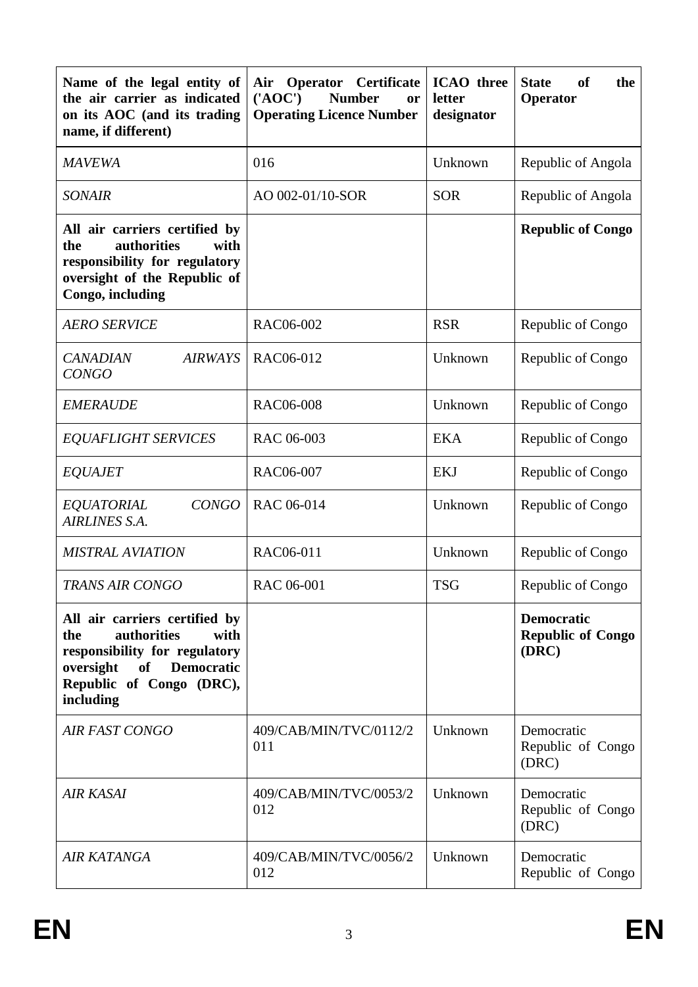| Name of the legal entity of<br>the air carrier as indicated<br>on its AOC (and its trading<br>name, if different)                                                             | Operator<br><b>Certificate</b><br>Air<br>$(^{\prime}AOC^{\prime})$<br><b>Number</b><br>or<br><b>Operating Licence Number</b> | <b>ICAO</b> three<br>letter<br>designator | <b>State</b><br>of<br>the<br>Operator                  |  |
|-------------------------------------------------------------------------------------------------------------------------------------------------------------------------------|------------------------------------------------------------------------------------------------------------------------------|-------------------------------------------|--------------------------------------------------------|--|
| <b>MAVEWA</b>                                                                                                                                                                 | 016                                                                                                                          | Unknown                                   | Republic of Angola                                     |  |
| <b>SONAIR</b>                                                                                                                                                                 | AO 002-01/10-SOR                                                                                                             | <b>SOR</b>                                | Republic of Angola                                     |  |
| All air carriers certified by<br>authorities<br>the<br>with<br>responsibility for regulatory<br>oversight of the Republic of<br>Congo, including                              |                                                                                                                              |                                           | <b>Republic of Congo</b>                               |  |
| <b>AERO SERVICE</b>                                                                                                                                                           | RAC06-002                                                                                                                    | <b>RSR</b>                                | Republic of Congo                                      |  |
| <b>AIRWAYS</b><br><b>CANADIAN</b><br><b>CONGO</b>                                                                                                                             | RAC06-012                                                                                                                    | Unknown<br>Republic of Congo              |                                                        |  |
| <b>EMERAUDE</b>                                                                                                                                                               | <b>RAC06-008</b>                                                                                                             | Unknown                                   | Republic of Congo                                      |  |
| <b>EQUAFLIGHT SERVICES</b>                                                                                                                                                    | RAC 06-003                                                                                                                   | <b>EKA</b>                                | Republic of Congo                                      |  |
| <b>EQUAJET</b>                                                                                                                                                                | RAC06-007                                                                                                                    | <b>EKJ</b>                                | Republic of Congo                                      |  |
| <b>EQUATORIAL</b><br><b>CONGO</b><br>AIRLINES S.A.                                                                                                                            | RAC 06-014                                                                                                                   | Unknown                                   | Republic of Congo                                      |  |
| <b>MISTRAL AVIATION</b>                                                                                                                                                       | RAC06-011                                                                                                                    | Unknown                                   | Republic of Congo                                      |  |
| TRANS AIR CONGO                                                                                                                                                               | RAC 06-001                                                                                                                   | <b>TSG</b>                                | Republic of Congo                                      |  |
| All air carriers certified by<br>authorities<br>with<br>the<br>responsibility for regulatory<br>oversight<br>of<br><b>Democratic</b><br>Republic of Congo (DRC),<br>including |                                                                                                                              |                                           | <b>Democratic</b><br><b>Republic of Congo</b><br>(DRC) |  |
| AIR FAST CONGO                                                                                                                                                                | 409/CAB/MIN/TVC/0112/2<br>011                                                                                                | Unknown                                   | Democratic<br>Republic of Congo<br>(DRC)               |  |
| <b>AIR KASAI</b>                                                                                                                                                              | 409/CAB/MIN/TVC/0053/2<br>012                                                                                                | Unknown                                   | Democratic<br>Republic of Congo<br>(DRC)               |  |
| AIR KATANGA                                                                                                                                                                   | 409/CAB/MIN/TVC/0056/2<br>012                                                                                                | Unknown                                   | Democratic<br>Republic of Congo                        |  |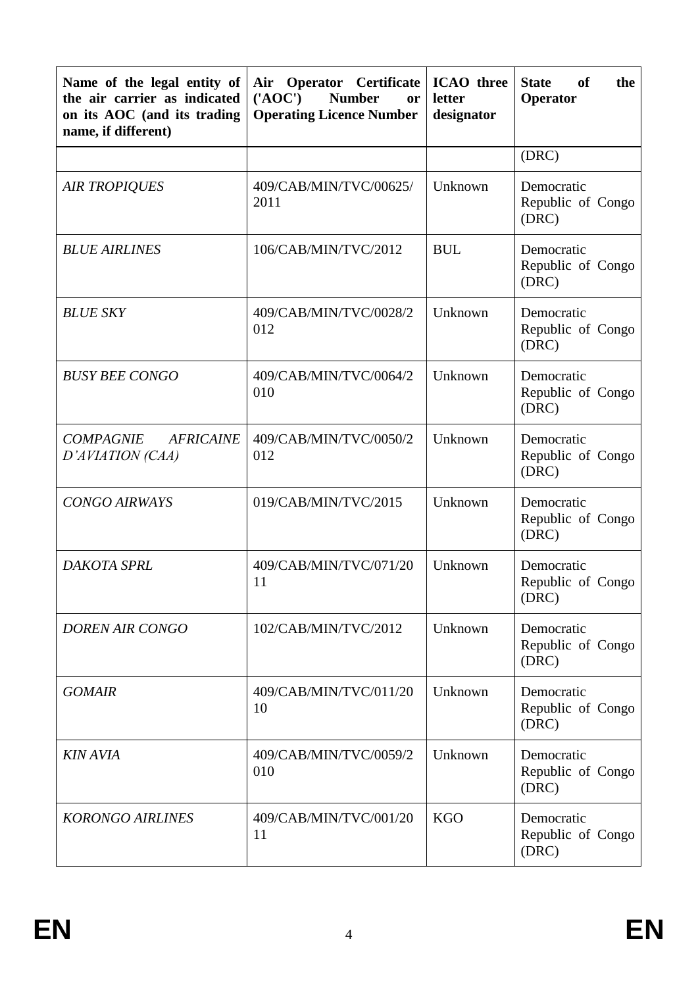| Name of the legal entity of<br>the air carrier as indicated<br>on its AOC (and its trading<br>name, if different) | Air<br><b>Operator</b> Certificate<br>$(^{\prime}AOC^{\prime})$<br><b>Number</b><br>or<br><b>Operating Licence Number</b> | <b>ICAO</b> three<br>letter<br>designator | <b>of</b><br><b>State</b><br>the<br>Operator |
|-------------------------------------------------------------------------------------------------------------------|---------------------------------------------------------------------------------------------------------------------------|-------------------------------------------|----------------------------------------------|
|                                                                                                                   |                                                                                                                           |                                           | (DRC)                                        |
| <b>AIR TROPIQUES</b>                                                                                              | 409/CAB/MIN/TVC/00625/<br>2011                                                                                            | Unknown                                   | Democratic<br>Republic of Congo<br>(DRC)     |
| <b>BLUE AIRLINES</b>                                                                                              | 106/CAB/MIN/TVC/2012                                                                                                      | <b>BUL</b>                                | Democratic<br>Republic of Congo<br>(DRC)     |
| <b>BLUE SKY</b>                                                                                                   | 409/CAB/MIN/TVC/0028/2<br>012                                                                                             | Unknown                                   | Democratic<br>Republic of Congo<br>(DRC)     |
| <b>BUSY BEE CONGO</b>                                                                                             | 409/CAB/MIN/TVC/0064/2<br>010                                                                                             | Unknown                                   | Democratic<br>Republic of Congo<br>(DRC)     |
| <b>AFRICAINE</b><br><b>COMPAGNIE</b><br>D'AVIATION (CAA)                                                          | 409/CAB/MIN/TVC/0050/2<br>012                                                                                             | Unknown                                   | Democratic<br>Republic of Congo<br>(DRC)     |
| <b>CONGO AIRWAYS</b>                                                                                              | 019/CAB/MIN/TVC/2015                                                                                                      | Unknown                                   | Democratic<br>Republic of Congo<br>(DRC)     |
| DAKOTA SPRL                                                                                                       | 409/CAB/MIN/TVC/071/20<br>11                                                                                              | Unknown                                   | Democratic<br>Republic of Congo<br>(DRC)     |
| <b>DOREN AIR CONGO</b>                                                                                            | 102/CAB/MIN/TVC/2012                                                                                                      | Unknown                                   | Democratic<br>Republic of Congo<br>(DRC)     |
| <b>GOMAIR</b>                                                                                                     | 409/CAB/MIN/TVC/011/20<br>10                                                                                              | Unknown                                   | Democratic<br>Republic of Congo<br>(DRC)     |
| <b>KIN AVIA</b>                                                                                                   | 409/CAB/MIN/TVC/0059/2<br>010                                                                                             | Unknown                                   | Democratic<br>Republic of Congo<br>(DRC)     |
| <b>KORONGO AIRLINES</b>                                                                                           | 409/CAB/MIN/TVC/001/20<br>11                                                                                              | <b>KGO</b>                                | Democratic<br>Republic of Congo<br>(DRC)     |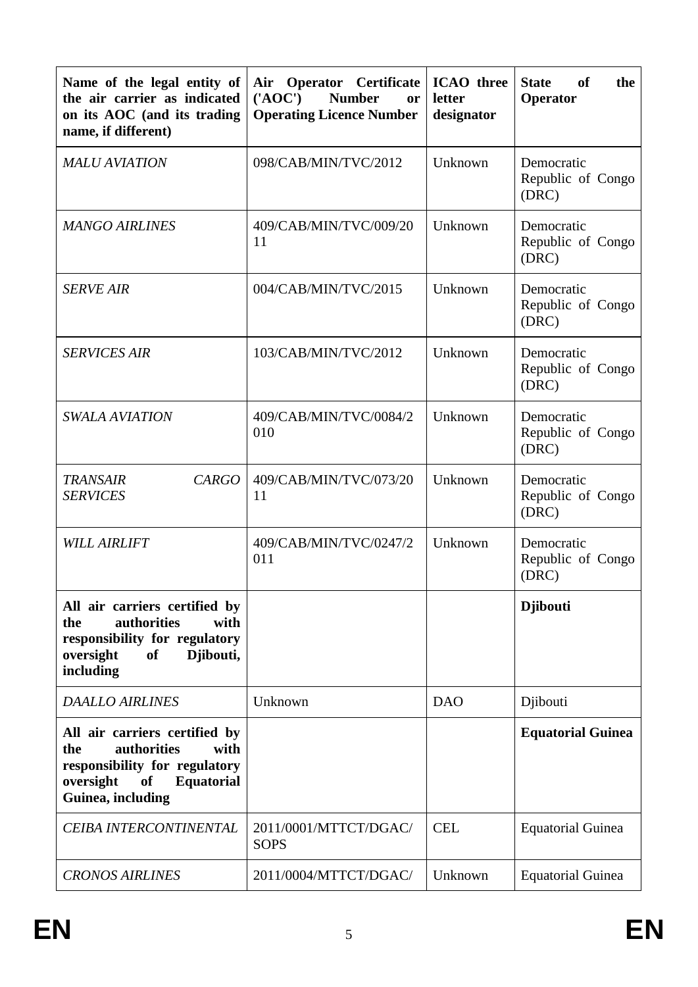| Name of the legal entity of<br>the air carrier as indicated<br>on its AOC (and its trading<br>name, if different)                                                | <b>ICAO</b> three<br><b>Operator</b> Certificate<br>Air<br>$(^{\prime}AOC^{\prime})$<br><b>Number</b><br>letter<br><b>or</b><br><b>Operating Licence Number</b><br>designator |                                        | <b>State</b><br>of<br>the<br>Operator    |
|------------------------------------------------------------------------------------------------------------------------------------------------------------------|-------------------------------------------------------------------------------------------------------------------------------------------------------------------------------|----------------------------------------|------------------------------------------|
| <b>MALU AVIATION</b>                                                                                                                                             | 098/CAB/MIN/TVC/2012                                                                                                                                                          | Unknown                                | Democratic<br>Republic of Congo<br>(DRC) |
| <b>MANGO AIRLINES</b>                                                                                                                                            | 409/CAB/MIN/TVC/009/20<br>11                                                                                                                                                  | Unknown                                | Democratic<br>Republic of Congo<br>(DRC) |
| <b>SERVE AIR</b>                                                                                                                                                 | 004/CAB/MIN/TVC/2015                                                                                                                                                          | Unknown                                | Democratic<br>Republic of Congo<br>(DRC) |
| <b>SERVICES AIR</b>                                                                                                                                              | 103/CAB/MIN/TVC/2012                                                                                                                                                          | Unknown                                | Democratic<br>Republic of Congo<br>(DRC) |
| <b>SWALA AVIATION</b>                                                                                                                                            | 409/CAB/MIN/TVC/0084/2<br>010                                                                                                                                                 | Unknown                                | Democratic<br>Republic of Congo<br>(DRC) |
| <b>CARGO</b><br><b>TRANSAIR</b><br><b>SERVICES</b>                                                                                                               | 409/CAB/MIN/TVC/073/20<br>11                                                                                                                                                  |                                        | Democratic<br>Republic of Congo<br>(DRC) |
| <b>WILL AIRLIFT</b>                                                                                                                                              | 409/CAB/MIN/TVC/0247/2<br>011                                                                                                                                                 | Unknown                                | Democratic<br>Republic of Congo<br>(DRC) |
| All air carriers certified by<br>authorities<br>the<br>with<br>responsibility for regulatory<br>Djibouti,<br>oversight<br>of<br>including                        |                                                                                                                                                                               |                                        | <b>Djibouti</b>                          |
| <b>DAALLO AIRLINES</b>                                                                                                                                           | Unknown                                                                                                                                                                       | <b>DAO</b>                             | Djibouti                                 |
| All air carriers certified by<br>authorities<br>the<br>with<br>responsibility for regulatory<br>oversight<br><b>Equatorial</b><br><b>of</b><br>Guinea, including |                                                                                                                                                                               |                                        | <b>Equatorial Guinea</b>                 |
| CEIBA INTERCONTINENTAL                                                                                                                                           | 2011/0001/MTTCT/DGAC/<br><b>SOPS</b>                                                                                                                                          | <b>CEL</b><br><b>Equatorial Guinea</b> |                                          |
| <b>CRONOS AIRLINES</b>                                                                                                                                           | 2011/0004/MTTCT/DGAC/                                                                                                                                                         | Unknown                                | <b>Equatorial Guinea</b>                 |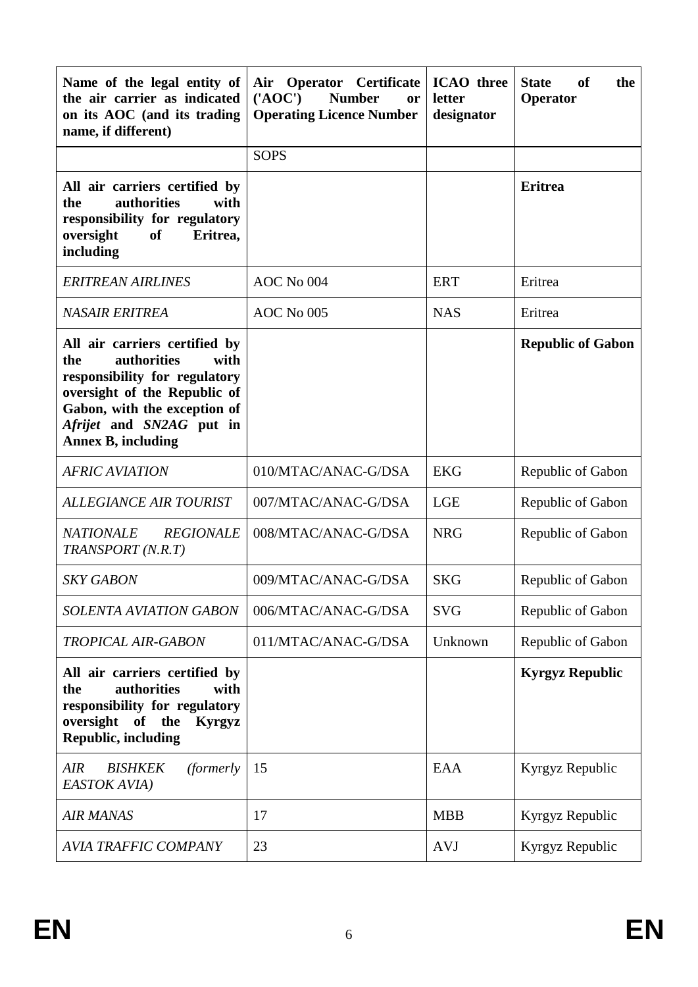| Name of the legal entity of<br>the air carrier as indicated<br>on its AOC (and its trading<br>name, if different)                                                                                                     | Operator Certificate<br>Air<br>$(^{\prime}AOC^{\prime})$<br><b>Number</b><br>or<br><b>Operating Licence Number</b> | <b>ICAO</b> three<br>letter<br>designator | <b>State</b><br>of<br>the<br>Operator |  |
|-----------------------------------------------------------------------------------------------------------------------------------------------------------------------------------------------------------------------|--------------------------------------------------------------------------------------------------------------------|-------------------------------------------|---------------------------------------|--|
|                                                                                                                                                                                                                       | <b>SOPS</b>                                                                                                        |                                           |                                       |  |
| All air carriers certified by<br>authorities<br>the<br>with<br>responsibility for regulatory<br>oversight<br>of<br>Eritrea,<br>including                                                                              |                                                                                                                    |                                           | <b>Eritrea</b>                        |  |
| <b>ERITREAN AIRLINES</b>                                                                                                                                                                                              | AOC No 004                                                                                                         | <b>ERT</b>                                | Eritrea                               |  |
| <b>NASAIR ERITREA</b>                                                                                                                                                                                                 | AOC No 005                                                                                                         | <b>NAS</b>                                | Eritrea                               |  |
| All air carriers certified by<br>authorities<br>the<br>with<br>responsibility for regulatory<br>oversight of the Republic of<br>Gabon, with the exception of<br>Afrijet and SN2AG put in<br><b>Annex B, including</b> |                                                                                                                    |                                           | <b>Republic of Gabon</b>              |  |
| <b>AFRIC AVIATION</b>                                                                                                                                                                                                 | 010/MTAC/ANAC-G/DSA                                                                                                | <b>EKG</b>                                | Republic of Gabon                     |  |
| <b>ALLEGIANCE AIR TOURIST</b>                                                                                                                                                                                         | 007/MTAC/ANAC-G/DSA                                                                                                | <b>LGE</b>                                | Republic of Gabon                     |  |
| <b>NATIONALE</b><br><b>REGIONALE</b><br>TRANSPORT (N.R.T)                                                                                                                                                             | 008/MTAC/ANAC-G/DSA                                                                                                | <b>NRG</b>                                | Republic of Gabon                     |  |
| <b>SKY GABON</b>                                                                                                                                                                                                      | 009/MTAC/ANAC-G/DSA                                                                                                | <b>SKG</b>                                | Republic of Gabon                     |  |
| <b>SOLENTA AVIATION GABON</b>                                                                                                                                                                                         | 006/MTAC/ANAC-G/DSA                                                                                                | <b>SVG</b>                                | Republic of Gabon                     |  |
| <b>TROPICAL AIR-GABON</b>                                                                                                                                                                                             | 011/MTAC/ANAC-G/DSA                                                                                                | Unknown                                   | Republic of Gabon                     |  |
| All air carriers certified by<br>authorities<br>the<br>with<br>responsibility for regulatory<br>oversight<br>of the<br>Kyrgyz<br><b>Republic, including</b>                                                           |                                                                                                                    |                                           | <b>Kyrgyz Republic</b>                |  |
| <b>AIR</b><br><b>BISHKEK</b><br><i>(formerly)</i><br>EASTOK AVIA)                                                                                                                                                     | 15                                                                                                                 | EAA                                       | Kyrgyz Republic                       |  |
| <b>AIR MANAS</b>                                                                                                                                                                                                      | 17                                                                                                                 | <b>MBB</b>                                | Kyrgyz Republic                       |  |
| <b>AVIA TRAFFIC COMPANY</b>                                                                                                                                                                                           | 23                                                                                                                 | <b>AVJ</b>                                | Kyrgyz Republic                       |  |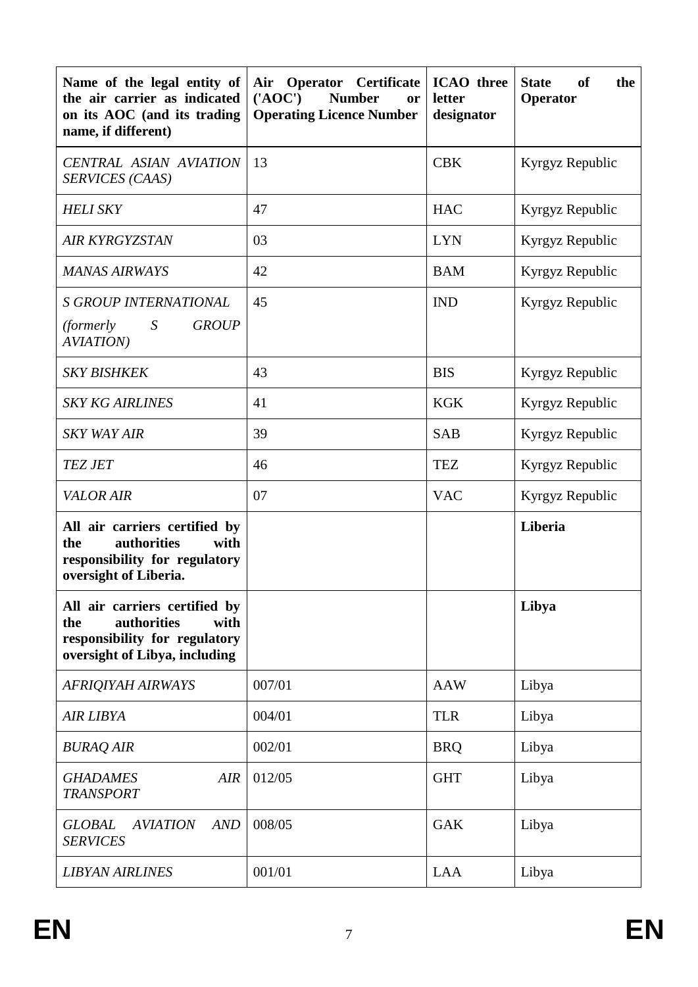| Name of the legal entity of<br>the air carrier as indicated<br>on its AOC (and its trading<br>name, if different)             | <b>Operator</b> Certificate<br>Air<br>$(^{\prime}AOC^{\prime})$<br><b>Number</b><br>or<br><b>Operating Licence Number</b> | <b>ICAO</b> three<br>letter<br>designator | <b>State</b><br><b>of</b><br>the<br>Operator |  |
|-------------------------------------------------------------------------------------------------------------------------------|---------------------------------------------------------------------------------------------------------------------------|-------------------------------------------|----------------------------------------------|--|
| <b>CENTRAL ASIAN AVIATION</b><br>SERVICES (CAAS)                                                                              | 13                                                                                                                        | <b>CBK</b>                                | Kyrgyz Republic                              |  |
| <b>HELI SKY</b>                                                                                                               | 47                                                                                                                        | <b>HAC</b>                                | Kyrgyz Republic                              |  |
| <b>AIR KYRGYZSTAN</b>                                                                                                         | 03                                                                                                                        | <b>LYN</b>                                | Kyrgyz Republic                              |  |
| <b>MANAS AIRWAYS</b>                                                                                                          | 42                                                                                                                        | <b>BAM</b>                                | Kyrgyz Republic                              |  |
| <b>S GROUP INTERNATIONAL</b><br>S<br><b>GROUP</b><br><i>(formerly)</i><br><b>AVIATION</b> )                                   | 45                                                                                                                        | <b>IND</b>                                | Kyrgyz Republic                              |  |
| <b>SKY BISHKEK</b>                                                                                                            | 43                                                                                                                        | <b>BIS</b>                                | Kyrgyz Republic                              |  |
| <b>SKY KG AIRLINES</b>                                                                                                        | 41                                                                                                                        | <b>KGK</b>                                | Kyrgyz Republic                              |  |
| <b>SKY WAY AIR</b>                                                                                                            | 39                                                                                                                        | <b>SAB</b>                                | Kyrgyz Republic                              |  |
| <b>TEZ JET</b>                                                                                                                | 46                                                                                                                        | <b>TEZ</b>                                | Kyrgyz Republic                              |  |
| <b>VALOR AIR</b>                                                                                                              | 07                                                                                                                        | <b>VAC</b>                                | Kyrgyz Republic                              |  |
| All air carriers certified by<br>authorities<br>with<br>the<br>responsibility for regulatory<br>oversight of Liberia.         |                                                                                                                           |                                           | Liberia                                      |  |
| All air carriers certified by<br>authorities<br>with<br>the<br>responsibility for regulatory<br>oversight of Libya, including |                                                                                                                           |                                           | Libya                                        |  |
| <b>AFRIQIYAH AIRWAYS</b>                                                                                                      | 007/01                                                                                                                    | <b>AAW</b>                                | Libya                                        |  |
| <b>AIR LIBYA</b>                                                                                                              | 004/01                                                                                                                    | <b>TLR</b>                                | Libya                                        |  |
| <b>BURAQ AIR</b>                                                                                                              | 002/01                                                                                                                    | <b>BRQ</b>                                | Libya                                        |  |
| <b>GHADAMES</b><br><b>AIR</b><br><b>TRANSPORT</b>                                                                             | 012/05                                                                                                                    | <b>GHT</b>                                | Libya                                        |  |
| <b>GLOBAL</b><br><b>AVIATION</b><br><b>AND</b><br><b>SERVICES</b>                                                             | 008/05                                                                                                                    | <b>GAK</b>                                | Libya                                        |  |
| <b>LIBYAN AIRLINES</b>                                                                                                        | 001/01<br><b>LAA</b>                                                                                                      |                                           | Libya                                        |  |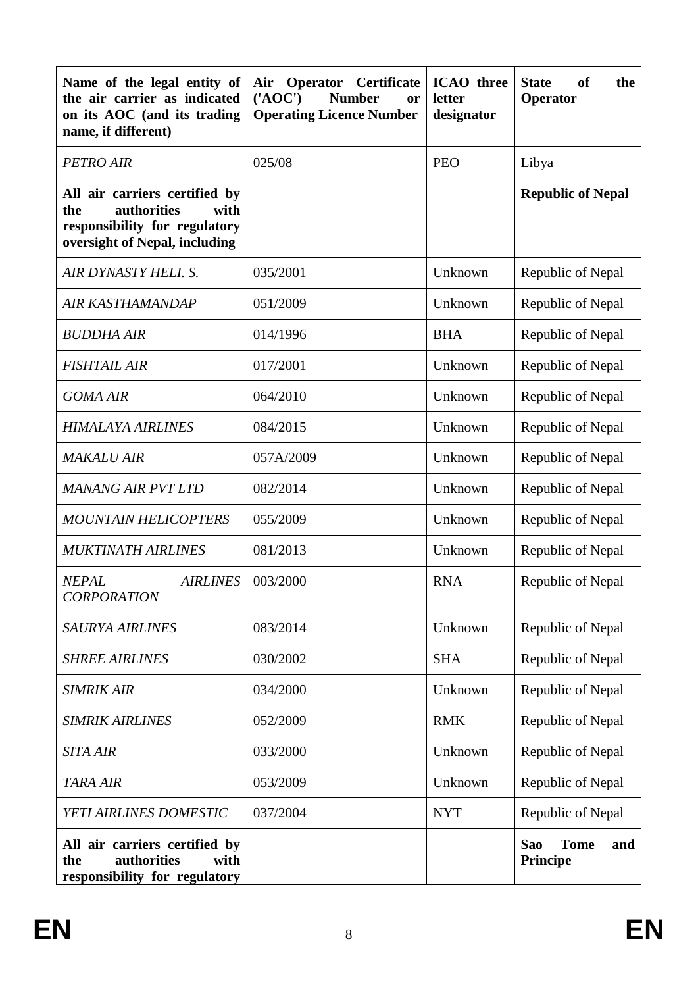| Name of the legal entity of<br>the air carrier as indicated<br>on its AOC (and its trading<br>name, if different)             | <b>Operator</b><br>Certificate<br>Air<br>$(^{\prime}AOC^{\prime})$<br><b>Number</b><br>or<br><b>Operating Licence Number</b> |            | <b>of</b><br><b>State</b><br>the<br>Operator        |  |
|-------------------------------------------------------------------------------------------------------------------------------|------------------------------------------------------------------------------------------------------------------------------|------------|-----------------------------------------------------|--|
| <b>PETRO AIR</b>                                                                                                              | 025/08                                                                                                                       | <b>PEO</b> | Libya                                               |  |
| All air carriers certified by<br>authorities<br>with<br>the<br>responsibility for regulatory<br>oversight of Nepal, including |                                                                                                                              |            | <b>Republic of Nepal</b>                            |  |
| AIR DYNASTY HELI. S.                                                                                                          | 035/2001                                                                                                                     | Unknown    | Republic of Nepal                                   |  |
| AIR KASTHAMANDAP                                                                                                              | 051/2009                                                                                                                     | Unknown    | Republic of Nepal                                   |  |
| <b>BUDDHA AIR</b>                                                                                                             | 014/1996                                                                                                                     | <b>BHA</b> | Republic of Nepal                                   |  |
| <b>FISHTAIL AIR</b>                                                                                                           | 017/2001                                                                                                                     | Unknown    | Republic of Nepal                                   |  |
| <b>GOMA AIR</b>                                                                                                               | 064/2010                                                                                                                     | Unknown    | Republic of Nepal                                   |  |
| <b>HIMALAYA AIRLINES</b>                                                                                                      | 084/2015                                                                                                                     | Unknown    | Republic of Nepal                                   |  |
| <b>MAKALU AIR</b>                                                                                                             | 057A/2009                                                                                                                    | Unknown    | Republic of Nepal                                   |  |
| <b>MANANG AIR PVT LTD</b>                                                                                                     | 082/2014                                                                                                                     | Unknown    | Republic of Nepal                                   |  |
| <b>MOUNTAIN HELICOPTERS</b>                                                                                                   | 055/2009                                                                                                                     | Unknown    | Republic of Nepal                                   |  |
| <b>MUKTINATH AIRLINES</b>                                                                                                     | 081/2013                                                                                                                     | Unknown    | Republic of Nepal                                   |  |
| <b>AIRLINES</b><br><b>NEPAL</b><br><b>CORPORATION</b>                                                                         | 003/2000                                                                                                                     | <b>RNA</b> | Republic of Nepal                                   |  |
| <b>SAURYA AIRLINES</b>                                                                                                        | 083/2014                                                                                                                     | Unknown    | Republic of Nepal                                   |  |
| <b>SHREE AIRLINES</b>                                                                                                         | 030/2002                                                                                                                     | <b>SHA</b> | Republic of Nepal                                   |  |
| <b>SIMRIK AIR</b>                                                                                                             | 034/2000                                                                                                                     | Unknown    | Republic of Nepal                                   |  |
| <b>SIMRIK AIRLINES</b>                                                                                                        | 052/2009                                                                                                                     | <b>RMK</b> | Republic of Nepal                                   |  |
| <b>SITA AIR</b>                                                                                                               | 033/2000                                                                                                                     | Unknown    | Republic of Nepal                                   |  |
| <b>TARA AIR</b>                                                                                                               | 053/2009                                                                                                                     | Unknown    | Republic of Nepal                                   |  |
| YETI AIRLINES DOMESTIC                                                                                                        | 037/2004                                                                                                                     | <b>NYT</b> | Republic of Nepal                                   |  |
| All air carriers certified by<br>authorities<br>with<br>the<br>responsibility for regulatory                                  |                                                                                                                              |            | <b>Tome</b><br><b>Sao</b><br>and<br><b>Principe</b> |  |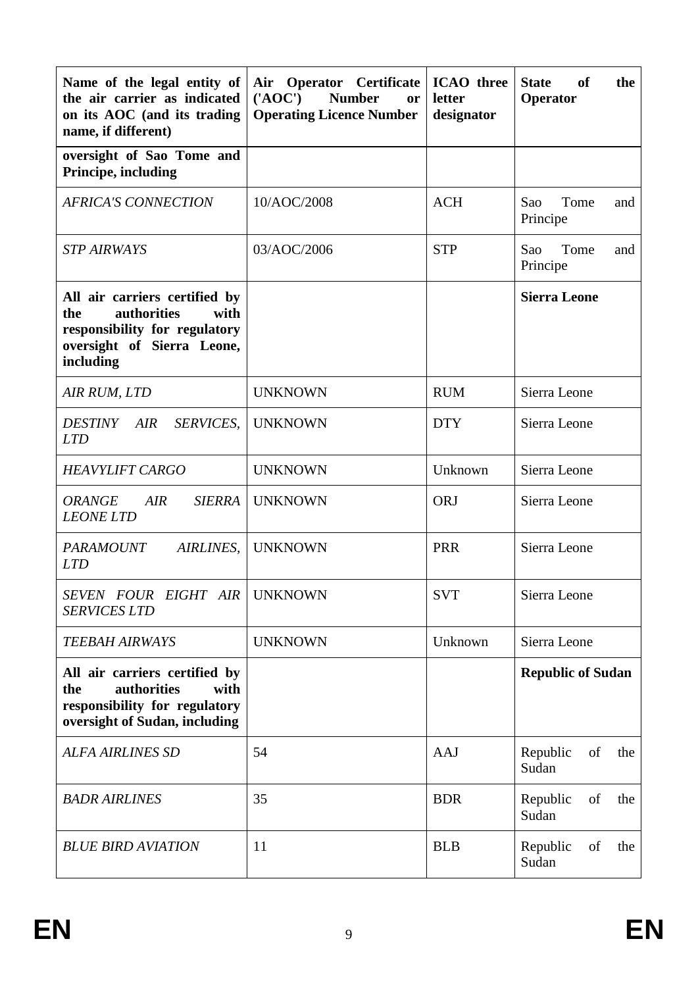| Name of the legal entity of<br>the air carrier as indicated<br>on its AOC (and its trading<br>name, if different)                       | Air Operator Certificate<br>$(^{\prime}AOC^{\prime})$<br><b>Number</b><br><b>or</b><br><b>Operating Licence Number</b> | <b>ICAO</b> three<br>letter<br>designator | <b>State</b><br>of<br>the<br>Operator |  |
|-----------------------------------------------------------------------------------------------------------------------------------------|------------------------------------------------------------------------------------------------------------------------|-------------------------------------------|---------------------------------------|--|
| oversight of Sao Tome and<br>Principe, including                                                                                        |                                                                                                                        |                                           |                                       |  |
| <b>AFRICA'S CONNECTION</b>                                                                                                              | 10/AOC/2008                                                                                                            | <b>ACH</b>                                | Tome<br>Sao<br>and<br>Principe        |  |
| <b>STP AIRWAYS</b>                                                                                                                      | 03/AOC/2006                                                                                                            | <b>STP</b>                                | Tome<br>Sao<br>and<br>Principe        |  |
| All air carriers certified by<br>authorities<br>with<br>the<br>responsibility for regulatory<br>oversight of Sierra Leone,<br>including |                                                                                                                        |                                           | <b>Sierra Leone</b>                   |  |
| AIR RUM, LTD                                                                                                                            | <b>UNKNOWN</b>                                                                                                         | <b>RUM</b>                                | Sierra Leone                          |  |
| <i>DESTINY</i><br>AIR<br>SERVICES,<br><b>LTD</b>                                                                                        | <b>UNKNOWN</b>                                                                                                         | <b>DTY</b>                                | Sierra Leone                          |  |
| <b>HEAVYLIFT CARGO</b>                                                                                                                  | <b>UNKNOWN</b>                                                                                                         | Unknown                                   | Sierra Leone                          |  |
| <b>ORANGE</b><br>AIR<br><b>SIERRA</b><br><b>LEONE LTD</b>                                                                               | <b>UNKNOWN</b>                                                                                                         | <b>ORJ</b>                                | Sierra Leone                          |  |
| <b>PARAMOUNT</b><br>AIRLINES,<br><b>LTD</b>                                                                                             | <b>UNKNOWN</b>                                                                                                         | <b>PRR</b>                                | Sierra Leone                          |  |
| SEVEN FOUR EIGHT AIR<br><b>SERVICES LTD</b>                                                                                             | <b>UNKNOWN</b>                                                                                                         | <b>SVT</b>                                | Sierra Leone                          |  |
| <b>TEEBAH AIRWAYS</b>                                                                                                                   | <b>UNKNOWN</b>                                                                                                         | Unknown                                   | Sierra Leone                          |  |
| All air carriers certified by<br>authorities<br>the<br>with<br>responsibility for regulatory<br>oversight of Sudan, including           |                                                                                                                        |                                           | <b>Republic of Sudan</b>              |  |
| <b>ALFA AIRLINES SD</b>                                                                                                                 | 54                                                                                                                     | <b>AAJ</b>                                | Republic<br>of<br>the<br>Sudan        |  |
| <b>BADR AIRLINES</b>                                                                                                                    | 35                                                                                                                     | <b>BDR</b>                                | Republic<br>of<br>the<br>Sudan        |  |
| <b>BLUE BIRD AVIATION</b>                                                                                                               | 11                                                                                                                     | <b>BLB</b>                                | Republic<br>of<br>the<br>Sudan        |  |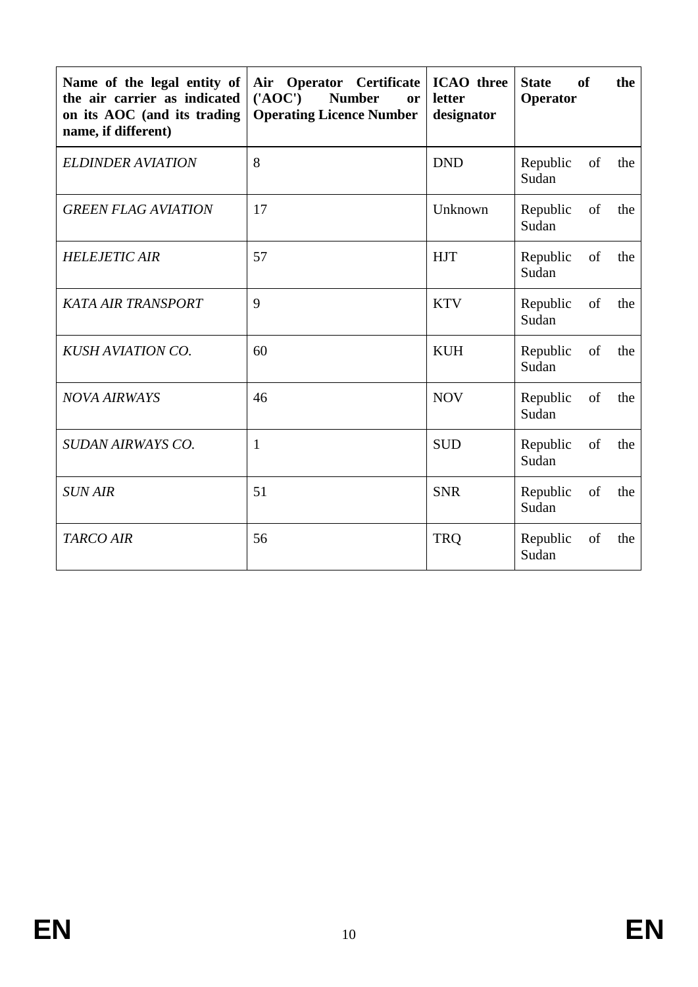| Name of the legal entity of<br>the air carrier as indicated<br>on its AOC (and its trading<br>name, if different) | <b>ICAO</b> three<br>Air<br><b>Operator</b> Certificate<br>$(^{\prime}AOC^{\prime})$<br><b>Number</b><br>letter<br>or<br><b>Operating Licence Number</b><br>designator |            | <sub>of</sub><br><b>State</b><br>the<br>Operator |
|-------------------------------------------------------------------------------------------------------------------|------------------------------------------------------------------------------------------------------------------------------------------------------------------------|------------|--------------------------------------------------|
| <b>ELDINDER AVIATION</b>                                                                                          | 8                                                                                                                                                                      | <b>DND</b> | Republic<br>of<br>the<br>Sudan                   |
| <b>GREEN FLAG AVIATION</b>                                                                                        | 17                                                                                                                                                                     | Unknown    | Republic<br>of<br>the<br>Sudan                   |
| <b>HELEJETIC AIR</b>                                                                                              | 57                                                                                                                                                                     | <b>HJT</b> | Republic<br>of<br>the<br>Sudan                   |
| <b>KATA AIR TRANSPORT</b>                                                                                         | 9                                                                                                                                                                      | <b>KTV</b> | Republic<br>of<br>the<br>Sudan                   |
| <b>KUSH AVIATION CO.</b>                                                                                          | 60                                                                                                                                                                     | <b>KUH</b> | of<br>Republic<br>the<br>Sudan                   |
| <b>NOVA AIRWAYS</b>                                                                                               | 46                                                                                                                                                                     | <b>NOV</b> | Republic<br>of<br>the<br>Sudan                   |
| SUDAN AIRWAYS CO.                                                                                                 | $\mathbf{1}$                                                                                                                                                           | <b>SUD</b> | of<br>Republic<br>the<br>Sudan                   |
| <b>SUN AIR</b>                                                                                                    | 51                                                                                                                                                                     | <b>SNR</b> | Republic<br>of<br>the<br>Sudan                   |
| <b>TARCO AIR</b>                                                                                                  | 56                                                                                                                                                                     | <b>TRQ</b> | of<br>the<br>Republic<br>Sudan                   |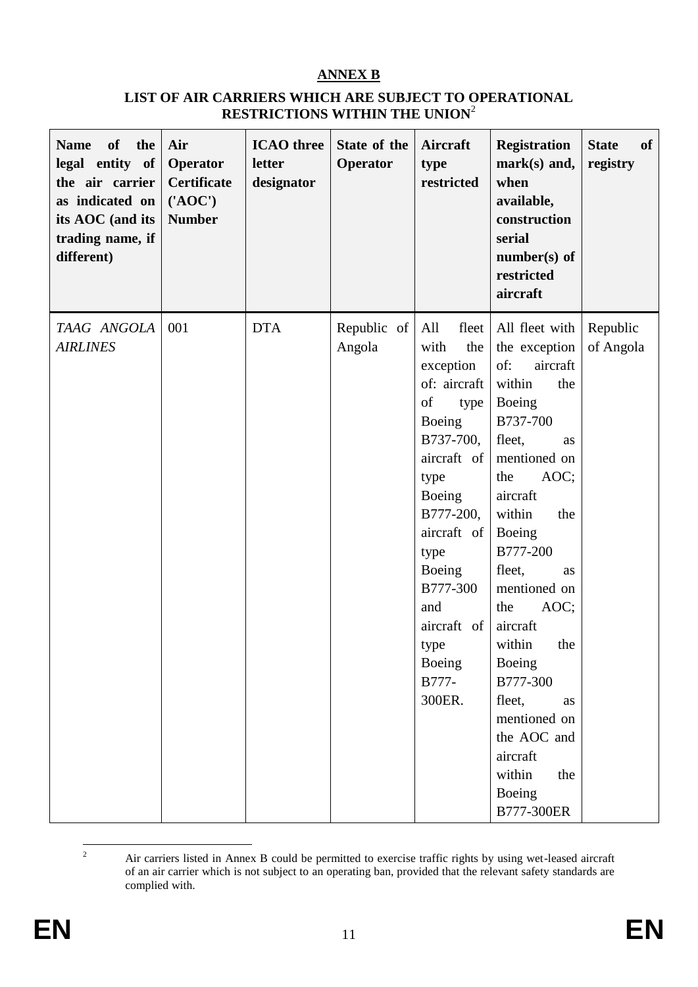## **ANNEX B**

#### **LIST OF AIR CARRIERS WHICH ARE SUBJECT TO OPERATIONAL RESTRICTIONS WITHIN THE UNION**<sup>2</sup>

| <b>of</b><br>the<br><b>Name</b><br>legal entity of<br>the air carrier<br>as indicated on<br>its AOC (and its<br>trading name, if<br>different) | Air<br>Operator<br><b>Certificate</b><br>$(^{\prime}AOC^{\prime})$<br><b>Number</b> | <b>ICAO</b> three<br>letter<br>designator | State of the<br>Operator | Aircraft<br>type<br>restricted                                                                                                                                                                                                                      | <b>Registration</b><br>$mark(s)$ and,<br>when<br>available,<br>construction<br>serial<br>$number(s)$ of<br>restricted<br>aircraft                                                                                                                                                                                                                                                                               | <b>State</b><br>of<br>registry |
|------------------------------------------------------------------------------------------------------------------------------------------------|-------------------------------------------------------------------------------------|-------------------------------------------|--------------------------|-----------------------------------------------------------------------------------------------------------------------------------------------------------------------------------------------------------------------------------------------------|-----------------------------------------------------------------------------------------------------------------------------------------------------------------------------------------------------------------------------------------------------------------------------------------------------------------------------------------------------------------------------------------------------------------|--------------------------------|
| TAAG ANGOLA<br><b>AIRLINES</b>                                                                                                                 | 001                                                                                 | <b>DTA</b>                                | Republic of<br>Angola    | All<br>fleet<br>with<br>the<br>exception<br>of: aircraft<br>of<br>type<br>Boeing<br>B737-700,<br>aircraft of<br>type<br>Boeing<br>B777-200,<br>aircraft of<br>type<br>Boeing<br>B777-300<br>and<br>aircraft of<br>type<br>Boeing<br>B777-<br>300ER. | All fleet with<br>the exception<br>of:<br>aircraft<br>within<br>the<br>Boeing<br>B737-700<br>fleet,<br>as<br>mentioned on<br>AOC;<br>the<br>aircraft<br>within<br>the<br>Boeing<br>B777-200<br>fleet,<br><b>as</b><br>mentioned on<br>AOC;<br>the<br>aircraft<br>within<br>the<br>Boeing<br>B777-300<br>fleet,<br><b>as</b><br>mentioned on<br>the AOC and<br>aircraft<br>within<br>the<br>Boeing<br>B777-300ER | Republic<br>of Angola          |

 $\overline{2}$ <sup>2</sup> Air carriers listed in Annex B could be permitted to exercise traffic rights by using wet-leased aircraft of an air carrier which is not subject to an operating ban, provided that the relevant safety standards are complied with.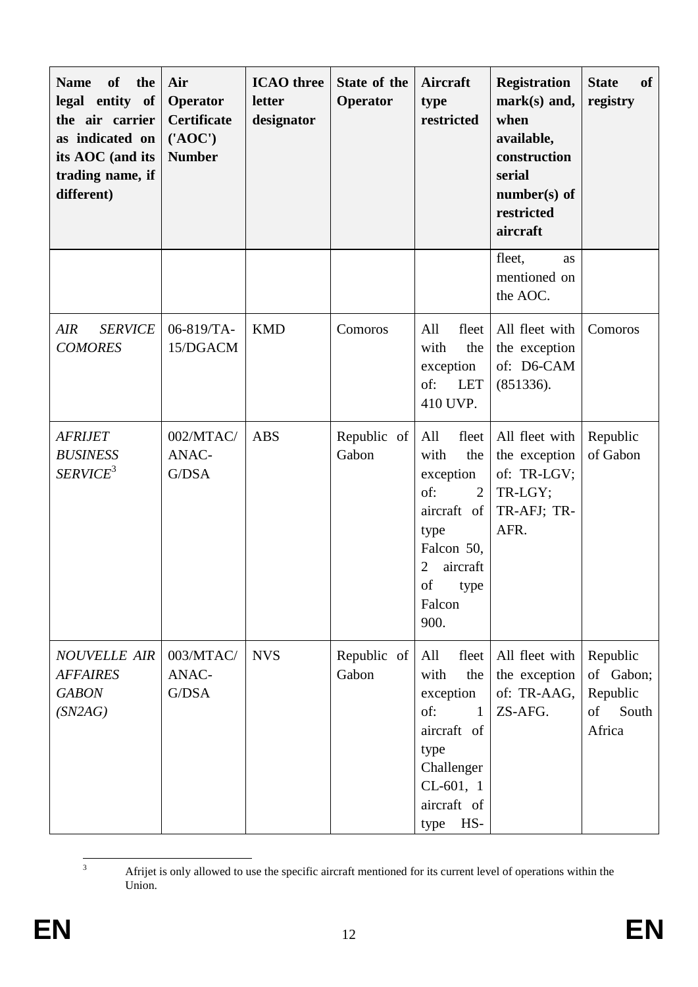| <b>Name</b><br><b>of</b><br>the<br>legal entity of<br>the air carrier<br>as indicated on<br>its AOC (and its<br>trading name, if<br>different) | Air<br>Operator<br><b>Certificate</b><br>$(^{\prime}AOC^{\prime})$<br><b>Number</b> | <b>ICAO</b> three<br>letter<br>designator | State of the<br>Operator | <b>Aircraft</b><br>type<br>restricted                                                                                                                                | <b>Registration</b><br>mark(s) and,<br>when<br>available,<br>construction<br>serial<br>$number(s)$ of<br>restricted<br>aircraft | <b>State</b><br>of<br>registry                                     |
|------------------------------------------------------------------------------------------------------------------------------------------------|-------------------------------------------------------------------------------------|-------------------------------------------|--------------------------|----------------------------------------------------------------------------------------------------------------------------------------------------------------------|---------------------------------------------------------------------------------------------------------------------------------|--------------------------------------------------------------------|
|                                                                                                                                                |                                                                                     |                                           |                          |                                                                                                                                                                      | fleet,<br>as<br>mentioned on<br>the AOC.                                                                                        |                                                                    |
| <b>SERVICE</b><br>AIR<br><b>COMORES</b>                                                                                                        | 06-819/TA-<br>15/DGACM                                                              | <b>KMD</b>                                | Comoros                  | All<br>fleet<br>with<br>the<br>exception<br>of:<br><b>LET</b><br>410 UVP.                                                                                            | All fleet with<br>the exception<br>of: D6-CAM<br>(851336).                                                                      | Comoros                                                            |
| <b>AFRIJET</b><br><b>BUSINESS</b><br>SERVICE <sup>3</sup>                                                                                      | 002/MTAC/<br>ANAC-<br>G/DSA                                                         | <b>ABS</b>                                | Republic of<br>Gabon     | All<br>fleet<br>with<br>the<br>exception<br>of:<br>$\overline{2}$<br>aircraft of<br>type<br>Falcon 50,<br>aircraft<br>$\overline{2}$<br>of<br>type<br>Falcon<br>900. | All fleet with<br>the exception<br>of: TR-LGV;<br>TR-LGY;<br>TR-AFJ; TR-<br>AFR.                                                | Republic<br>of Gabon                                               |
| <b>NOUVELLE AIR</b><br><b>AFFAIRES</b><br><b>GABON</b><br>(SN2AG)                                                                              | 003/MTAC/<br>ANAC-<br>G/DSA                                                         | <b>NVS</b>                                | Republic of<br>Gabon     | All<br>fleet<br>with<br>the<br>exception<br>of:<br>$\mathbf{1}$<br>aircraft of<br>type<br>Challenger<br>$CL-601, 1$<br>aircraft of<br>HS-<br>type                    | All fleet with<br>the exception<br>of: TR-AAG,<br>ZS-AFG.                                                                       | Republic<br>of Gabon;<br>Republic<br>$\sigma f$<br>South<br>Africa |

 <sup>3</sup> Afrijet is only allowed to use the specific aircraft mentioned for its current level of operations within the Union.